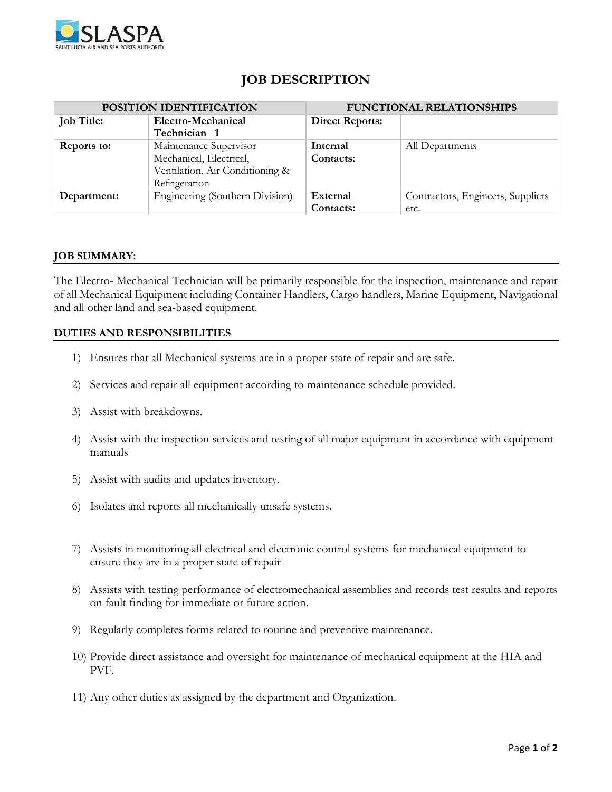

# **JOB DESCRIPTION**

| POSITION IDENTIFICATION |                                 | <b>FUNCTIONAL RELATIONSHIPS</b> |                                   |
|-------------------------|---------------------------------|---------------------------------|-----------------------------------|
| <b>Job Title:</b>       | Electro-Mechanical              | <b>Direct Reports:</b>          |                                   |
|                         | Technician 1                    |                                 |                                   |
| <b>Reports to:</b>      | Maintenance Supervisor          | Internal                        | All Departments                   |
|                         | Mechanical, Electrical,         | Contacts:                       |                                   |
|                         | Ventilation, Air Conditioning & |                                 |                                   |
|                         | Refrigeration                   |                                 |                                   |
| Department:             | Engineering (Southern Division) | External                        | Contractors, Engineers, Suppliers |
|                         |                                 | Contacts:                       | etc.                              |

## **JOB SUMMARY:**

The Electro- Mechanical Technician will be primarily responsible for the inspection, maintenance and repair of all Mechanical Equipment including Container Handlers, Cargo handlers, Marine Equipment, Navigational and all other land and sea-based equipment.

## **DUTIES AND RESPONSIBILITIES**

- 1) Ensures that all Mechanical systems are in a proper state of repair and are safe.
- 2) Services and repair all equipment according to maintenance schedule provided.
- 3) Assist with breakdowns.
- 4) Assist with the inspection services and testing of all major equipment in accordance with equipment manuals
- 5) Assist with audits and updates inventory.
- 6) Isolates and reports all mechanically unsafe systems.
- 7) Assists in monitoring all electrical and electronic control systems for mechanical equipment to ensure they are in a proper state of repair
- 8) Assists with testing performance of electromechanical assemblies and records test results and reports on fault finding for immediate or future action.
- 9) Regularly completes forms related to routine and preventive maintenance.
- 10) Provide direct assistance and oversight for maintenance of mechanical equipment at the HIA and PVF.
- 11) Any other duties as assigned by the department and Organization.